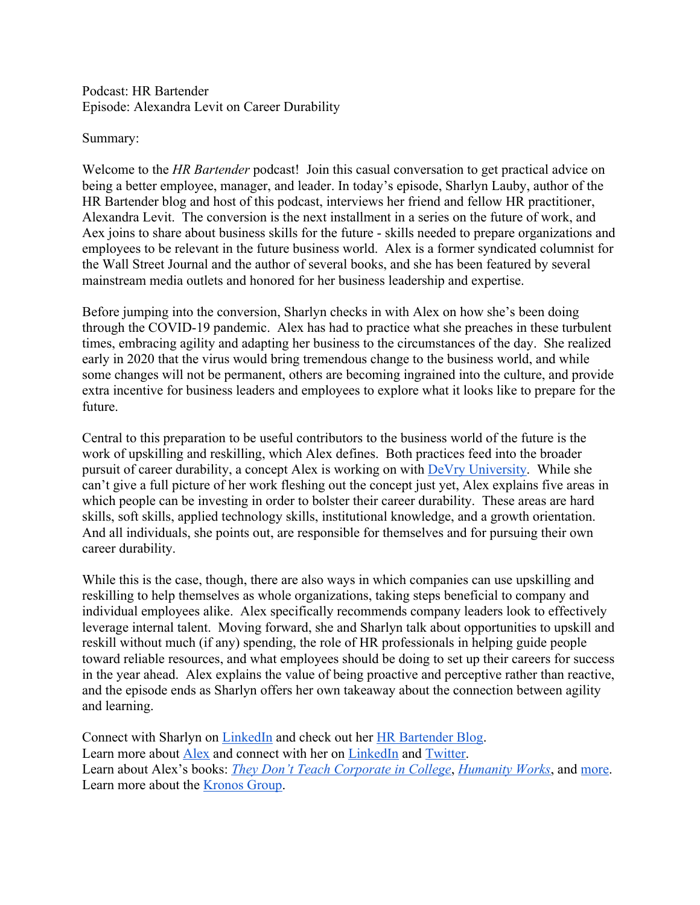## Podcast: HR Bartender Episode: Alexandra Levit on Career Durability

## Summary:

Welcome to the *HR Bartender* podcast! Join this casual conversation to get practical advice on being a better employee, manager, and leader. In today's episode, Sharlyn Lauby, author of the HR Bartender blog and host of this podcast, interviews her friend and fellow HR practitioner, Alexandra Levit. The conversion is the next installment in a series on the future of work, and Aex joins to share about business skills for the future - skills needed to prepare organizations and employees to be relevant in the future business world. Alex is a former syndicated columnist for the Wall Street Journal and the author of several books, and she has been featured by several mainstream media outlets and honored for her business leadership and expertise.

Before jumping into the conversion, Sharlyn checks in with Alex on how she's been doing through the COVID-19 pandemic. Alex has had to practice what she preaches in these turbulent times, embracing agility and adapting her business to the circumstances of the day. She realized early in 2020 that the virus would bring tremendous change to the business world, and while some changes will not be permanent, others are becoming ingrained into the culture, and provide extra incentive for business leaders and employees to explore what it looks like to prepare for the future.

Central to this preparation to be useful contributors to the business world of the future is the work of upskilling and reskilling, which Alex defines. Both practices feed into the broader pursuit of career durability, a concept Alex is working on with DeVry University. While she can't give a full picture of her work fleshing out the concept just yet, Alex explains five areas in which people can be investing in order to bolster their career durability. These areas are hard skills, soft skills, applied technology skills, institutional knowledge, and a growth orientation. And all individuals, she points out, are responsible for themselves and for pursuing their own career durability.

While this is the case, though, there are also ways in which companies can use upskilling and reskilling to help themselves as whole organizations, taking steps beneficial to company and individual employees alike. Alex specifically recommends company leaders look to effectively leverage internal talent. Moving forward, she and Sharlyn talk about opportunities to upskill and reskill without much (if any) spending, the role of HR professionals in helping guide people toward reliable resources, and what employees should be doing to set up their careers for success in the year ahead. Alex explains the value of being proactive and perceptive rather than reactive, and the episode ends as Sharlyn offers her own takeaway about the connection between agility and learning.

Connect with Sharlyn on LinkedIn and check out her HR Bartender Blog. Learn more about Alex and connect with her on LinkedIn and Twitter. Learn about Alex's books: *They Don't Teach Corporate in College*, *Humanity Works*, and more. Learn more about the Kronos Group.